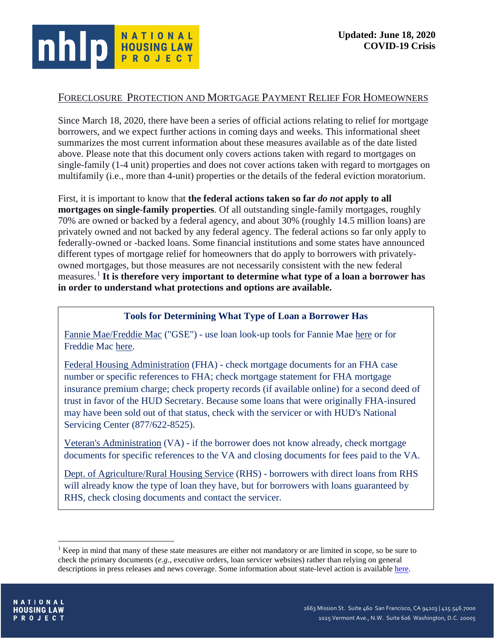

# FORECLOSURE PROTECTION AND MORTGAGE PAYMENT RELIEF FOR HOMEOWNERS

Since March 18, 2020, there have been a series of official actions relating to relief for mortgage borrowers, and we expect further actions in coming days and weeks. This informational sheet summarizes the most current information about these measures available as of the date listed above. Please note that this document only covers actions taken with regard to mortgages on single-family (1-4 unit) properties and does not cover actions taken with regard to mortgages on multifamily (i.e., more than 4-unit) properties or the details of the federal eviction moratorium.

First, it is important to know that **the federal actions taken so far** *do not* **apply to all mortgages on single-family properties**. Of all outstanding single-family mortgages, roughly 70% are owned or backed by a federal agency, and about 30% (roughly 14.5 million loans) are privately owned and not backed by any federal agency. The federal actions so far only apply to federally-owned or -backed loans. Some financial institutions and some states have announced different types of mortgage relief for homeowners that do apply to borrowers with privatelyowned mortgages, but those measures are not necessarily consistent with the new federal measures.[1](#page-0-0) **It is therefore very important to determine what type of a loan a borrower has in order to understand what protections and options are available.**

### **Tools for Determining What Type of Loan a Borrower Has**

Fannie Mae/Freddie Mac ("GSE") - use loan look-up tools for Fannie Mae [here](https://www.knowyouroptions.com/loanlookup) or for Freddie Mac [here.](https://ww3.freddiemac.com/loanlookup/)

Federal Housing Administration (FHA) - check mortgage documents for an FHA case number or specific references to FHA; check mortgage statement for FHA mortgage insurance premium charge; check property records (if available online) for a second deed of trust in favor of the HUD Secretary. Because some loans that were originally FHA-insured may have been sold out of that status, check with the servicer or with HUD's National Servicing Center (877/622-8525).

Veteran's Administration (VA) - if the borrower does not know already, check mortgage documents for specific references to the VA and closing documents for fees paid to the VA.

Dept. of Agriculture/Rural Housing Service (RHS) - borrowers with direct loans from RHS will already know the type of loan they have, but for borrowers with loans guaranteed by RHS, check closing documents and contact the servicer.

<span id="page-0-0"></span><sup>&</sup>lt;sup>1</sup> Keep in mind that many of these state measures are either not mandatory or are limited in scope, so be sure to check the primary documents (*e.g*., executive orders, loan servicer websites) rather than relying on general descriptions in press releases and news coverage. Some information about state-level action is available [here.](https://library.nclc.org/major-consumer-protections-announced-response-covid-19)

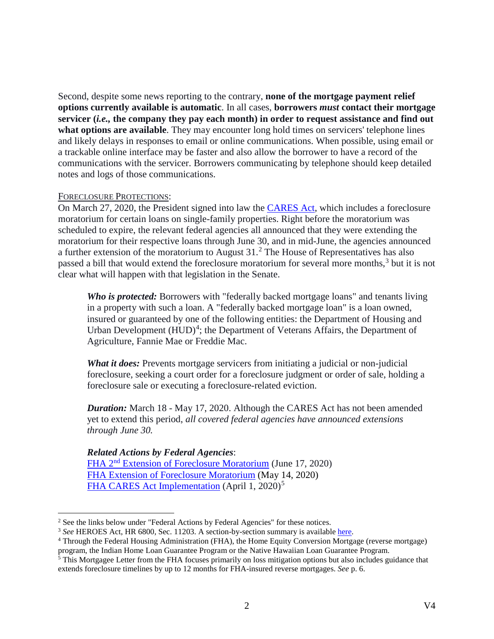Second, despite some news reporting to the contrary, **none of the mortgage payment relief options currently available is automatic**. In all cases, **borrowers** *must* **contact their mortgage servicer (***i.e.,* **the company they pay each month) in order to request assistance and find out**  what options are available. They may encounter long hold times on servicers' telephone lines and likely delays in responses to email or online communications. When possible, using email or a trackable online interface may be faster and also allow the borrower to have a record of the communications with the servicer. Borrowers communicating by telephone should keep detailed notes and logs of those communications.

### FORECLOSURE PROTECTIONS:

On March 27, 2020, the President signed into law the [CARES](https://www.documentcloud.org/documents/6819239-FINAL-FINAL-CARES-ACT.html) Act, which includes a foreclosure moratorium for certain loans on single-family properties. Right before the moratorium was scheduled to expire, the relevant federal agencies all announced that they were extending the moratorium for their respective loans through June 30, and in mid-June, the agencies announced a further extension of the moratorium to August  $31<sup>2</sup>$  $31<sup>2</sup>$  $31<sup>2</sup>$  The House of Representatives has also passed a bill that would extend the foreclosure moratorium for several more months,<sup>[3](#page-1-1)</sup> but it is not clear what will happen with that legislation in the Senate.

*Who is protected:* Borrowers with "federally backed mortgage loans" and tenants living in a property with such a loan. A "federally backed mortgage loan" is a loan owned, insured or guaranteed by one of the following entities: the Department of Housing and Urban Development  $(HUD)^4$  $(HUD)^4$ ; the Department of Veterans Affairs, the Department of Agriculture, Fannie Mae or Freddie Mac.

*What it does:* Prevents mortgage servicers from initiating a judicial or non-judicial foreclosure, seeking a court order for a foreclosure judgment or order of sale, holding a foreclosure sale or executing a foreclosure-related eviction.

*Duration:* March 18 - May 17, 2020. Although the CARES Act has not been amended yet to extend this period, *all covered federal agencies have announced extensions through June 30.*

# *Related Actions by Federal Agencies*:

FHA 2nd [Extension of Foreclosure Moratorium](https://www.hud.gov/sites/dfiles/OCHCO/documents/2020-19hsngml.pdf) (June 17, 2020) [FHA Extension of Foreclosure Moratorium](https://www.hud.gov/sites/dfiles/OCHCO/documents/2020-13hsngml.pdf) (May 14, 2020) [FHA CARES Act Implementation](https://www.hud.gov/sites/dfiles/OCHCO/documents/20-06hsngml.pdf) (April 1, 2020)<sup>[5](#page-1-3)</sup>

<span id="page-1-0"></span><sup>&</sup>lt;sup>2</sup> See the links below under "Federal Actions by Federal Agencies" for these notices.

<span id="page-1-1"></span><sup>&</sup>lt;sup>3</sup> See HEROES Act, HR 6800, Sec. 11203. A section-by-section summary is available [here.](https://appropriations.house.gov/sites/democrats.appropriations.house.gov/files/documents/Heroes%20Act%20Summary.pdf)

<span id="page-1-2"></span><sup>4</sup> Through the Federal Housing Administration (FHA), the Home Equity Conversion Mortgage (reverse mortgage) program, the Indian Home Loan Guarantee Program or the Native Hawaiian Loan Guarantee Program.

<span id="page-1-3"></span> $<sup>5</sup>$  This Mortgagee Letter from the FHA focuses primarily on loss mitigation options but also includes guidance that</sup> extends foreclosure timelines by up to 12 months for FHA-insured reverse mortgages. *See* p. 6.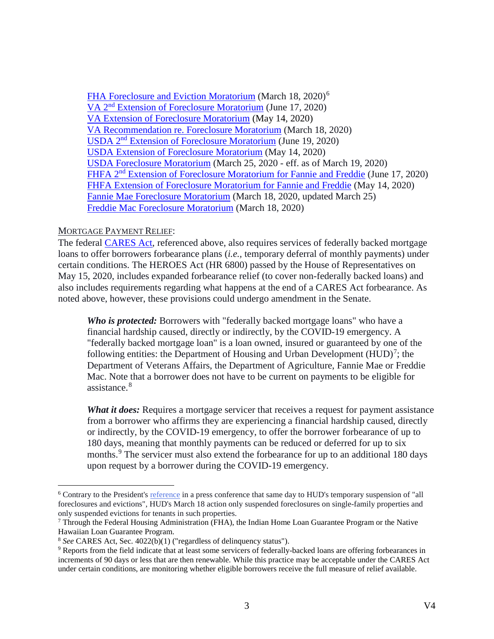[FHA Foreclosure and Eviction Moratorium](https://www.hud.gov/sites/dfiles/OCHCO/documents/20-04hsgml.pdf) (March 18, 2020)<sup>[6](#page-2-0)</sup> VA 2nd [Extension of Foreclosure Moratorium](https://www.benefits.va.gov/HOMELOANS/documents/circulars/26_20_22.pdf) (June 17, 2020) [VA Extension of Foreclosure Moratorium](https://www.benefits.va.gov/HOMELOANS/documents/circulars/26_20_18.pdf) (May 14, 2020) [VA Recommendation re. Foreclosure Moratorium](https://www.benefits.va.gov/HOMELOANS/documents/circulars/26_20_8.pdf) (March 18, 2020) USDA 2nd [Extension of Foreclosure Moratorium](https://www.rd.usda.gov/sites/default/files/USDA_RD_SA_Announces_Extension_Foreclosure_Eviction_Relief.pdf) (June 19, 2020) USDA [Extension of Foreclosure Moratorium](https://content.govdelivery.com/accounts/USDARD/bulletins/28bb26e) (May 14, 2020) [USDA Foreclosure Moratorium](https://www.rd.usda.gov/node/17179) (March 25, 2020 - eff. as of March 19, 2020) FHFA 2<sup>nd</sup> [Extension of Foreclosure Moratorium for Fannie and Freddie](https://www.fhfa.gov/Media/PublicAffairs/Pages/FHFA-Extends-Foreclosure-and-Eviction-Moratorium-6172020.aspx) (June 17, 2020) [FHFA Extension of Foreclosure Moratorium for Fannie and Freddie](https://www.fhfa.gov/Media/PublicAffairs/Pages/FHFA-Extends-Foreclosure-and-Eviction-Moratorium.aspx?utm_medium=email&utm_source=govdelivery) (May 14, 2020) [Fannie Mae Foreclosure Moratorium](https://singlefamily.fanniemae.com/media/22261/display) (March 18, 2020, updated March 25) [Freddie Mac Foreclosure Moratorium](https://guide.freddiemac.com/app/guide/content/a_id/1003722) (March 18, 2020)

#### MORTGAGE PAYMENT RELIEF:

The federal **CARES** Act, referenced above, also requires services of federally backed mortgage loans to offer borrowers forbearance plans (*i.e.,* temporary deferral of monthly payments) under certain conditions. The HEROES Act (HR 6800) passed by the House of Representatives on May 15, 2020, includes expanded forbearance relief (to cover non-federally backed loans) and also includes requirements regarding what happens at the end of a CARES Act forbearance. As noted above, however, these provisions could undergo amendment in the Senate.

*Who is protected:* Borrowers with "federally backed mortgage loans" who have a financial hardship caused, directly or indirectly, by the COVID-19 emergency. A "federally backed mortgage loan" is a loan owned, insured or guaranteed by one of the following entities: the Department of Housing and Urban Development  $(HUD)^7$  $(HUD)^7$ ; the Department of Veterans Affairs, the Department of Agriculture, Fannie Mae or Freddie Mac. Note that a borrower does not have to be current on payments to be eligible for assistance.<sup>[8](#page-2-2)</sup>

*What it does:* Requires a mortgage servicer that receives a request for payment assistance from a borrower who affirms they are experiencing a financial hardship caused, directly or indirectly, by the COVID-19 emergency, to offer the borrower forbearance of up to 180 days, meaning that monthly payments can be reduced or deferred for up to six months.<sup>[9](#page-2-3)</sup> The servicer must also extend the forbearance for up to an additional 180 days upon request by a borrower during the COVID-19 emergency.

<span id="page-2-0"></span> <sup>6</sup> Contrary to the President's [reference](https://www.cnbc.com/2020/03/18/coronavirus-trump-says-hud-will-suspend-foreclosures-evictions-until-end-of-april.html) in a press conference that same day to HUD's temporary suspension of "all foreclosures and evictions", HUD's March 18 action only suspended foreclosures on single-family properties and only suspended evictions for tenants in such properties.

<span id="page-2-1"></span><sup>7</sup> Through the Federal Housing Administration (FHA), the Indian Home Loan Guarantee Program or the Native Hawaiian Loan Guarantee Program.

<span id="page-2-2"></span><sup>8</sup> *See* CARES Act, Sec. 4022(b)(1) ("regardless of delinquency status").

<span id="page-2-3"></span><sup>&</sup>lt;sup>9</sup> Reports from the field indicate that at least some servicers of federally-backed loans are offering forbearances in increments of 90 days or less that are then renewable. While this practice may be acceptable under the CARES Act under certain conditions, are monitoring whether eligible borrowers receive the full measure of relief available.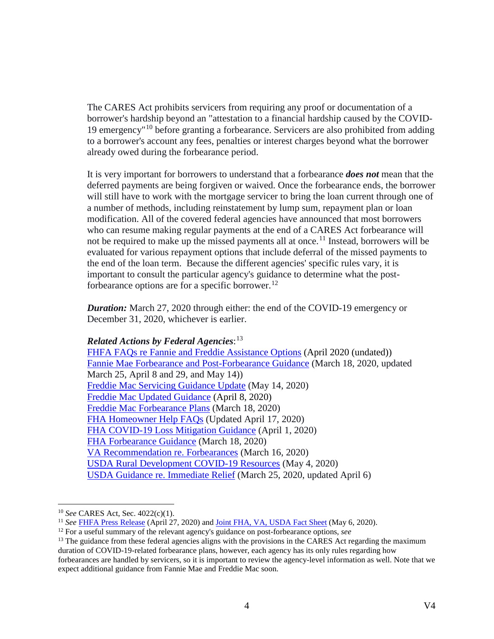The CARES Act prohibits servicers from requiring any proof or documentation of a borrower's hardship beyond an "attestation to a financial hardship caused by the COVID-19 emergency"[10](#page-3-0) before granting a forbearance. Servicers are also prohibited from adding to a borrower's account any fees, penalties or interest charges beyond what the borrower already owed during the forbearance period.

It is very important for borrowers to understand that a forbearance *does not* mean that the deferred payments are being forgiven or waived. Once the forbearance ends, the borrower will still have to work with the mortgage servicer to bring the loan current through one of a number of methods, including reinstatement by lump sum, repayment plan or loan modification. All of the covered federal agencies have announced that most borrowers who can resume making regular payments at the end of a CARES Act forbearance will not be required to make up the missed payments all at once.<sup>[11](#page-3-1)</sup> Instead, borrowers will be evaluated for various repayment options that include deferral of the missed payments to the end of the loan term. Because the different agencies' specific rules vary, it is important to consult the particular agency's guidance to determine what the post-forbearance options are for a specific borrower.<sup>[12](#page-3-2)</sup>

*Duration:* March 27, 2020 through either: the end of the COVID-19 emergency or December 31, 2020, whichever is earlier.

*Related Actions by Federal Agencies*: [13](#page-3-3) [FHFA FAQs re Fannie and Freddie Assistance Options](https://www.fhfa.gov/Homeownersbuyer/MortgageAssistance/Documents/FAQs-FannieMae-FreddieMac-Assistance-Options-for-Families-Impacted-by-COVID-19.pdf) (April 2020 (undated)) [Fannie Mae Forbearance and Post-Forbearance Guidance](https://singlefamily.fanniemae.com/media/22261/display) (March 18, 2020, updated March 25, April 8 and 29, and May 14)) [Freddie Mac Servicing Guidance Update](https://guide.freddiemac.com/app/guide/bulletin/2020-16) (May 14, 2020) [Freddie Mac Updated Guidance](https://www.google.com/url?q=https://guide.freddiemac.com/app/guide/bulletin/2020-10?utm_source%3Deloqua%26utm_medium%3Demail%26utm_campaign%3D2020-04-08_GUIDE_GUIDE_&source=gmail&ust=1586643927168000&usg=AFQjCNGt3Bcul-VyknyCbRX17S99sahN4w) (April 8, 2020) [Freddie Mac Forbearance Plans](https://guide.freddiemac.com/app/guide/bulletin/2020-4) (March 18, 2020) [FHA Homeowner Help FAQs](https://www.hud.gov/sites/dfiles/SFH/documents/COVID-19HomeownerHelp.pdf) (Updated April 17, 2020) [FHA COVID-19 Loss Mitigation Guidance](https://www.hud.gov/sites/dfiles/OCHCO/documents/20-06hsngml.pdf) (April 1, 2020) [FHA Forbearance](https://www.hud.gov/sites/dfiles/OCHCO/documents/20-04hsgml.pdf) Guidance (March 18, 2020) [VA Recommendation re. Forbearances](https://www.benefits.va.gov/HOMELOANS/resources_circulars.asp) (March 16, 2020) [USDA Rural Development COVID-19 Resources](https://www.rd.usda.gov/sites/default/files/USDA_RD_SA_COVID19_ProgramImmediateActions.pdf) (May 4, 2020) USDA Guidance [re. Immediate Relief](https://www.rd.usda.gov/sites/default/files/USDA_RD_SA_COVID19_ProgramImmediateActions.pdf) (March 25, 2020, updated April 6)

<span id="page-3-0"></span> <sup>10</sup> *See* CARES Act, Sec. 4022(c)(1).

<span id="page-3-1"></span><sup>11</sup> *See* [FHFA Press Release](https://www.fhfa.gov/Media/PublicAffairs/Pages/No-Lump-Sum-Required-at-the-End-of-Forbearance-says-FHFAs-Calabria.aspx) (April 27, 2020) and [Joint FHA, VA, USDA Fact Sheet](https://www.rd.usda.gov/sites/default/files/RD-GRH-COVID19Lenders.pdf) (May 6, 2020).

<span id="page-3-2"></span><sup>12</sup> For a useful summary of the relevant agency's guidance on post-forbearance options, *see*

<span id="page-3-3"></span><sup>&</sup>lt;sup>13</sup> The guidance from these federal agencies aligns with the provisions in the CARES Act regarding the maximum duration of COVID-19-related forbearance plans, however, each agency has its only rules regarding how

forbearances are handled by servicers, so it is important to review the agency-level information as well. Note that we expect additional guidance from Fannie Mae and Freddie Mac soon.